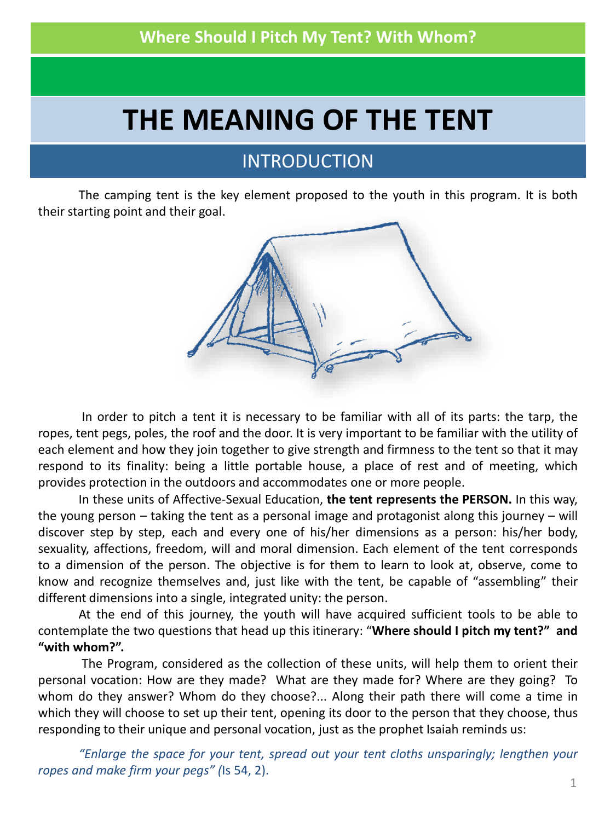# **THE MEANING OF THE TENT**

# [INTRODUCTION](http://www.google.es/url?sa=i&rct=j&q=la+tienda+de+campa%C3%B1a&source=images&cd=&cad=rja&docid=CJbq0o7_bMIBeM&tbnid=Hjd6JNmuJ8ybcM:&ved=0CAUQjRw&url=http://scoutsparatodos.wordpress.com/2009/05/15/la-tienda-de-campana/&ei=hiDjUfiWN5Gb0wXNqYHQDg&bvm=bv.48705608,d.ZGU&psig=AFQjCNHPTXLOSMcOdv-fsbnogqyJFkJhQQ&ust=1373925869474495)

The camping tent is the key element proposed to the youth in this program. It is both their starting point and their goal.



In order to pitch a tent it is necessary to be familiar with all of its parts: the tarp, the ropes, tent pegs, poles, the roof and the door. It is very important to be familiar with the utility of each element and how they join together to give strength and firmness to the tent so that it may respond to its finality: being a little portable house, a place of rest and of meeting, which provides protection in the outdoors and accommodates one or more people.

In these units of Affective-Sexual Education, **the tent represents the PERSON.** In this way, the young person – taking the tent as a personal image and protagonist along this journey – will discover step by step, each and every one of his/her dimensions as a person: his/her body, sexuality, affections, freedom, will and moral dimension. Each element of the tent corresponds to a dimension of the person. The objective is for them to learn to look at, observe, come to know and recognize themselves and, just like with the tent, be capable of "assembling" their different dimensions into a single, integrated unity: the person.

At the end of this journey, the youth will have acquired sufficient tools to be able to contemplate the two questions that head up this itinerary: "**Where should I pitch my tent?" and "with whom?".**

The Program, considered as the collection of these units, will help them to orient their personal vocation: How are they made? What are they made for? Where are they going? To whom do they answer? Whom do they choose?... Along their path there will come a time in which they will choose to set up their tent, opening its door to the person that they choose, thus responding to their unique and personal vocation, just as the prophet Isaiah reminds us:

*"Enlarge the space for your tent, spread out your tent cloths unsparingly; lengthen your ropes and make firm your pegs" (*Is 54, 2).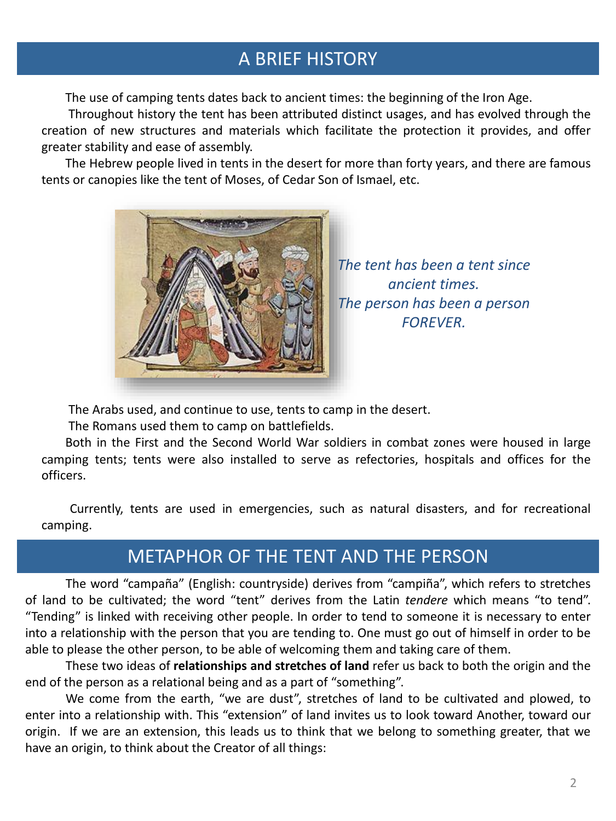# A BRIEF HISTORY

The use of camping tents dates back to ancient times: the beginning of the Iron Age.

Throughout history the tent has been attributed distinct usages, and has evolved through the creation of new structures and materials which facilitate the protection it provides, and offer greater stability and ease of assembly.

The Hebrew people lived in tents in the desert for more than forty years, and there are famous tents or canopies like the tent of Moses, of Cedar Son of Ismael, etc.



*The tent has been a tent since ancient times. The person has been a person FOREVER.*

The Arabs used, and [continue](http://www.google.es/url?sa=i&rct=j&q=historia+de+la+tienda+de+campa%C3%B1a&source=images&cd=&docid=KHC_94o9l8KLeM&tbnid=61xStUKy4fwbpM:&ved=0CAUQjRw&url=http://es.wikipedia.org/wiki/Tienda_de_campa%C3%B1a&ei=wu3NUfzgK8vKPe67gfgD&bvm=bv.48572450,d.ZWU&psig=AFQjCNGxwA0dahqH5Q389L5w-F24n8KMLA&ust=1372536627334461) to use, tents to camp in the desert.

The Romans used them to camp on battlefields.

Both in the First and the Second World War soldiers in combat zones were housed in large camping tents; tents were also installed to serve as refectories, hospitals and offices for the officers.

Currently, tents are used in emergencies, such as natural disasters, and for recreational camping.

# METAPHOR OF THE TENT AND THE PERSON

The word "campaña" (English: countryside) derives from "campiña", which refers to stretches of land to be cultivated; the word "tent" derives from the Latin *tendere* which means "to tend". "Tending" is linked with receiving other people. In order to tend to someone it is necessary to enter into a relationship with the person that you are tending to. One must go out of himself in order to be able to please the other person, to be able of welcoming them and taking care of them.

These two ideas of **relationships and stretches of land** refer us back to both the origin and the end of the person as a relational being and as a part of "something".

We come from the earth, "we are dust", stretches of land to be cultivated and plowed, to enter into a relationship with. This "extension" of land invites us to look toward Another, toward our origin. If we are an extension, this leads us to think that we belong to something greater, that we have an origin, to think about the Creator of all things: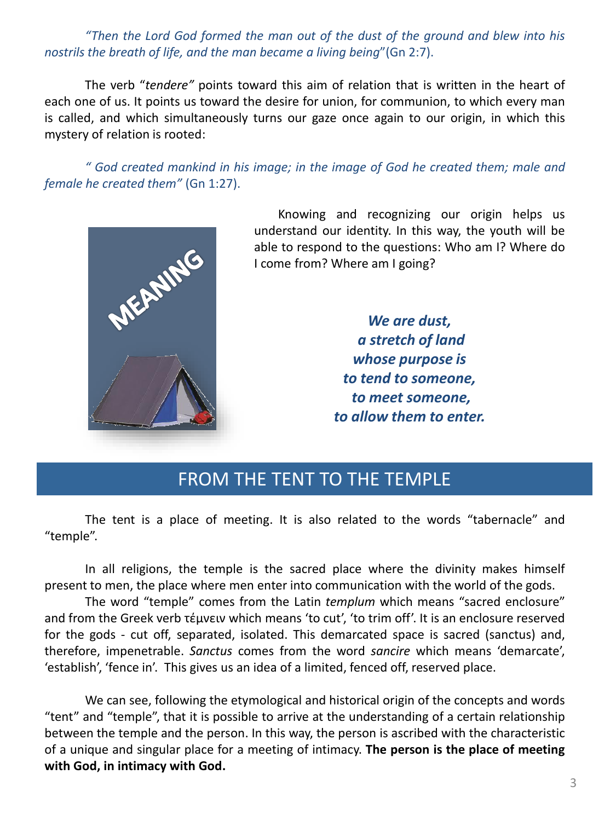#### *"Then the Lord God formed the man out of the dust of the ground and blew into his nostrils the breath of life, and the man became a living being*"(Gn 2:7).

The verb "*tendere"* points toward this aim of relation that is written in the heart of each one of us. It points us toward the desire for union, for communion, to which every man is called, and which simultaneously turns our gaze once again to our origin, in which this mystery of relation is rooted:

*" God created mankind in his image; in the image of God he created them; male and female he created them"* (Gn 1:27).



Knowing and recognizing our origin helps us understand our identity. In this way, the youth will be able to respond to the questions: Who am I? Where do I come from? Where am I going?

> *We are dust, a stretch of land whose purpose is to tend to someone, to meet someone, to allow them to enter.*

### FROM THE TENT TO THE TEMPLE

The tent is a place of meeting. It is also related to the words "tabernacle" and "temple".

In all religions, the temple is the sacred place where the divinity makes himself present to men, the place where men enter into communication with the world of the gods.

The word "temple" comes from the Latin *templum* which means "sacred enclosure" and from the Greek verb τέμνειν which means 'to cut', 'to trim off'. It is an enclosure reserved for the gods - cut off, separated, isolated. This demarcated space is sacred (sanctus) and, therefore, impenetrable. *Sanctus* comes from the word *sancire* which means 'demarcate', 'establish', 'fence in'. This gives us an idea of a limited, fenced off, reserved place.

We can see, following the etymological and historical origin of the concepts and words "tent" and "temple", that it is possible to arrive at the understanding of a certain relationship between the temple and the person. In this way, the person is ascribed with the characteristic of a unique and singular place for a meeting of intimacy. **The person is the place of meeting with God, in intimacy with God.**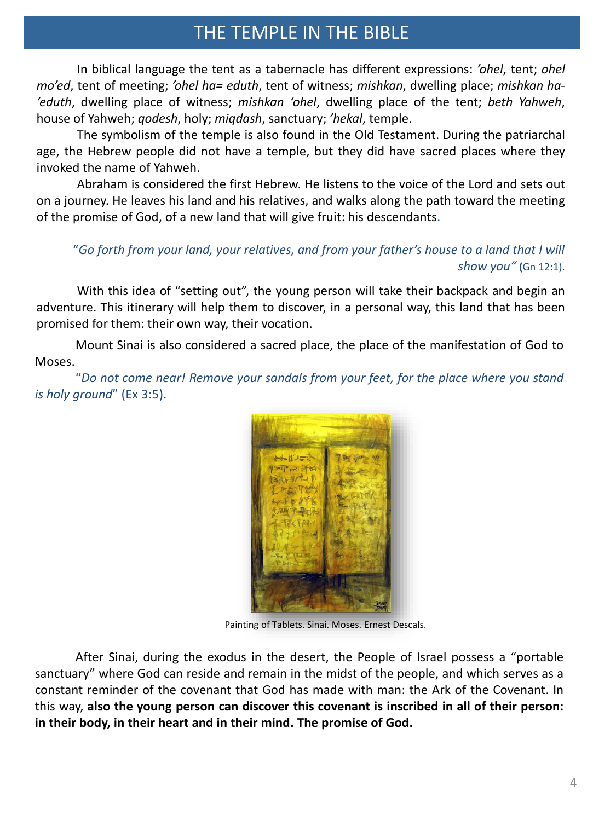## THE TEMPLE IN THE BIBLE

In biblical language the tent as a tabernacle has different expressions: *'ohel*, tent; *ohel mo'ed*, tent of meeting; *'ohel ha= eduth*, tent of witness; *mishkan*, dwelling place; *mishkan ha- 'eduth*, dwelling place of witness; *mishkan 'ohel*, dwelling place of the tent; *beth Yahweh*, house of Yahweh; *qodesh*, holy; *miqdash*, sanctuary; *'hekal*, temple.

The symbolism of the temple is also found in the Old Testament. During the patriarchal age, the Hebrew people did not have a temple, but they did have sacred places where they invoked the name of Yahweh.

Abraham is considered the first Hebrew. He listens to the voice of the Lord and sets out on a journey. He leaves his land and his relatives, and walks along the path toward the meeting of the promise of God, of a new land that will give fruit: his descendants.

#### "*Go forth from your land, your relatives, and from your father's house to a land that I will show you"* **(**Gn 12:1).

With this idea of "setting out", the young person will take their backpack and begin an adventure. This itinerary will help them to discover, in a personal way, this land that has been promised for them: their own way, their vocation.

Mount Sinai is also considered a sacred place, the place of the manifestation of God to Moses.

"*Do not come near! Remove your sandals from your feet, for the place where you stand is holy ground*" (Ex 3:5).



Painting [of Tablets. Sinai. Moses. Ernest](http://1.bp.blogspot.com/-8UtoLNRs2WE/UMu1kaWwviI/AAAAAAAANeU/4UUY1s9NVew/s1600/TABLAS-SINAI-MOISES-DIOS-ELOHIM-TEXTOS-SAGRADOS-ANUNNAKI-PINTURA-PINTOR-ERNEST+DESCALS-.jpg) Descals.

After Sinai, during the exodus in the desert, the People of Israel possess a "portable sanctuary" where God can reside and remain in the midst of the people, and which serves as a constant reminder of the covenant that God has made with man: the Ark of the Covenant. In this way, **also the young person can discover this covenant is inscribed in all of their person: in their body, in their heart and in their mind. The promise of God.**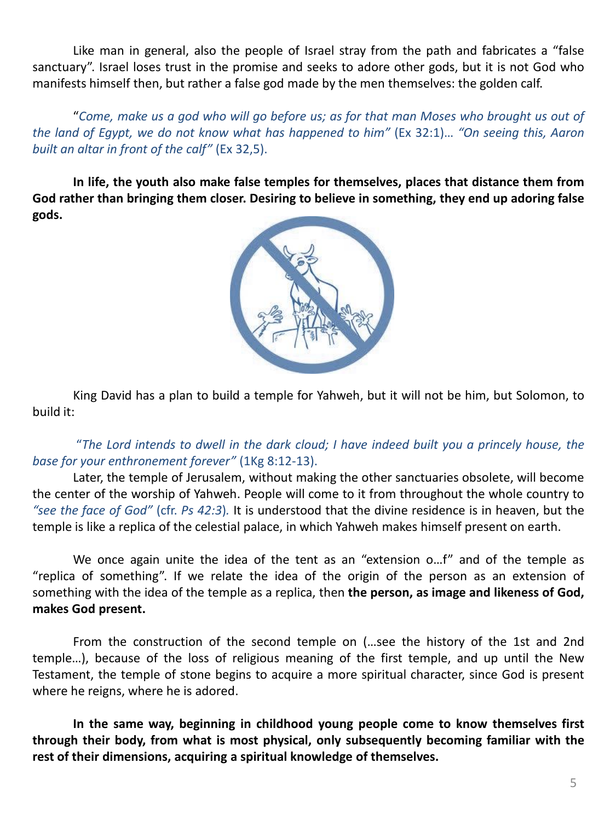Like man in general, also the people of Israel stray from the path and fabricates a "false sanctuary". Israel loses trust in the promise and seeks to adore other gods, but it is not God who manifests himself then, but rather a false god made by the men themselves: the golden calf.

"Come, make us a god who will go before us; as for that man Moses who brought us out of *the land of Egypt, we do not know what has happened to him"* (Ex 32:1)… *"On seeing this, Aaron built an altar in front of the calf"* (Ex 32,5).

**In life, the youth also make false temples for themselves, places that distance them from God rather than bringing them closer. Desiring to believe in something, they end up adoring false gods.**



King David has a plan to build a temple for Yahweh, but it will not be him, but Solomon, to build it:

"*The Lord intends to dwell in the dark cloud; I have indeed built you a princely house, the base for your enthronement forever"* (1Kg 8:12-13).

Later, the temple of Jerusalem, without making the other sanctuaries obsolete, will become the center of the worship of Yahweh. People will come to it from throughout the whole country to *"see the face of God"* (cfr. *Ps 42:3*)*.* It is understood that the divine residence is in heaven, but the temple is like a replica of the celestial palace, in which Yahweh makes himself present on earth.

We once again unite the idea of the tent as an "extension o…f" and of the temple as "replica of something". If we relate the idea of the origin of the person as an extension of something with the idea of the temple as a replica, then **the person, as image and likeness of God, makes God present.**

From the construction of the second temple on (…see the history of the 1st and 2nd temple…), because of the loss of religious meaning of the first temple, and up until the New Testament, the temple of stone begins to acquire a more spiritual character, since God is present where he reigns, where he is adored.

**In the same way, beginning in childhood young people come to know themselves first through their body, from what is most physical, only subsequently becoming familiar with the rest of their dimensions, acquiring a spiritual knowledge of themselves.**